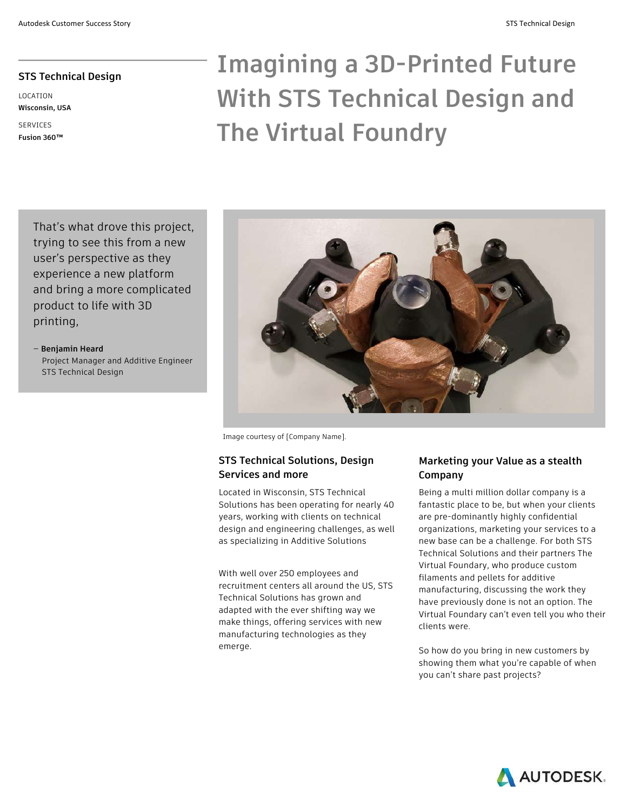# **STS Technical Design**

LOCATION **Wisconsin, USA**

SERVICES **Fusion 360™** 

# **Imagining a 3D-Printed Future With STS Technical Design and The Virtual Foundry**

That's what drove this project, trying to see this from a new user's perspective as they experience a new platform and bring a more complicated product to life with 3D printing,

— **Benjamin Heard** Project Manager and Additive Engineer STS Technical Design



Image courtesy of [Company Name].

### **STS Technical Solutions, Design Services and more**

Located in Wisconsin, STS Technical Solutions has been operating for nearly 40 years, working with clients on technical design and engineering challenges, as well as specializing in Additive Solutions

With well over 250 employees and recruitment centers all around the US, STS Technical Solutions has grown and adapted with the ever shifting way we make things, offering services with new manufacturing technologies as they emerge.

## **Marketing your Value as a stealth Company**

Being a multi million dollar company is a fantastic place to be, but when your clients are pre-dominantly highly confidential organizations, marketing your services to a new base can be a challenge. For both STS Technical Solutions and their partners The Virtual Foundary, who produce custom filaments and pellets for additive manufacturing, discussing the work they have previously done is not an option. The Virtual Foundary can't even tell you who their clients were.

So how do you bring in new customers by showing them what you're capable of when you can't share past projects?